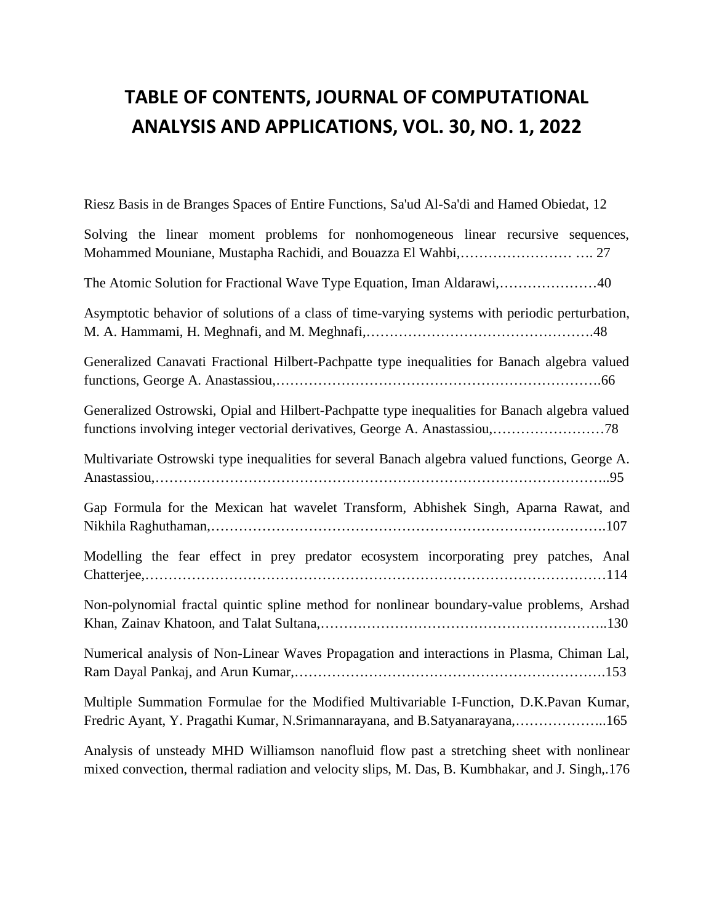## **TABLE OF CONTENTS, JOURNAL OF COMPUTATIONAL ANALYSIS AND APPLICATIONS, VOL. 30, NO. 1, 2022**

Riesz Basis in de Branges Spaces of Entire Functions, Sa'ud Al-Sa'di and Hamed Obiedat, 12 Solving the linear moment problems for nonhomogeneous linear recursive sequences, Mohammed Mouniane, Mustapha Rachidi, and Bouazza El Wahbi,…………………… …. 27 The Atomic Solution for Fractional Wave Type Equation, Iman Aldarawi,…………………40 Asymptotic behavior of solutions of a class of time-varying systems with periodic perturbation, M. A. Hammami, H. Meghnafi, and M. Meghnafi,………………………………………….48 Generalized Canavati Fractional Hilbert-Pachpatte type inequalities for Banach algebra valued functions, George A. Anastassiou,…………………………………………………………….66 Generalized Ostrowski, Opial and Hilbert-Pachpatte type inequalities for Banach algebra valued functions involving integer vectorial derivatives, George A. Anastassiou,……………………78 Multivariate Ostrowski type inequalities for several Banach algebra valued functions, George A. Anastassiou,……………………………………………………………………………………..95 Gap Formula for the Mexican hat wavelet Transform, Abhishek Singh, Aparna Rawat, and Nikhila Raghuthaman,………………………………………………………………………….107 Modelling the fear effect in prey predator ecosystem incorporating prey patches, Anal Chatterjee,………………………………………………………………………………………114 Non-polynomial fractal quintic spline method for nonlinear boundary-value problems, Arshad Khan, Zainav Khatoon, and Talat Sultana,……………………………………………………..130 Numerical analysis of Non-Linear Waves Propagation and interactions in Plasma, Chiman Lal, Ram Dayal Pankaj, and Arun Kumar,………………………………………………………….153 Multiple Summation Formulae for the Modified Multivariable I-Function, D.K.Pavan Kumar, Fredric Ayant, Y. Pragathi Kumar, N.Srimannarayana, and B.Satyanarayana,………………..165

Analysis of unsteady MHD Williamson nanofluid flow past a stretching sheet with nonlinear mixed convection, thermal radiation and velocity slips, M. Das, B. Kumbhakar, and J. Singh,.176